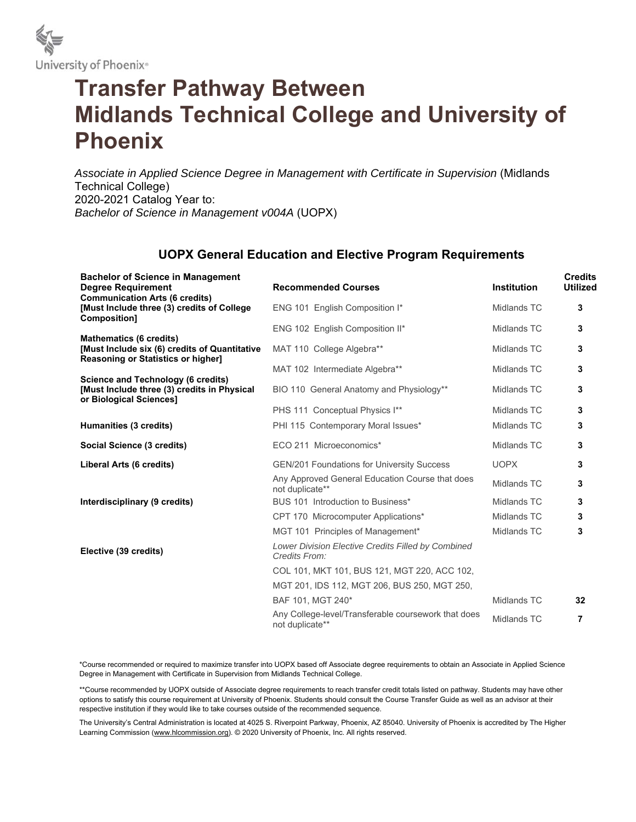

## **Transfer Pathway Between Midlands Technical College and University of Phoenix**

*Associate in Applied Science Degree in Management with Certificate in Supervision* (Midlands Technical College) 2020-2021 Catalog Year to: *Bachelor of Science in Management v004A* (UOPX)

## **UOPX General Education and Elective Program Requirements**

| <b>Bachelor of Science in Management</b><br><b>Degree Requirement</b>                                                        | <b>Recommended Courses</b>                                             | <b>Institution</b> | <b>Credits</b><br><b>Utilized</b> |
|------------------------------------------------------------------------------------------------------------------------------|------------------------------------------------------------------------|--------------------|-----------------------------------|
| <b>Communication Arts (6 credits)</b><br>[Must Include three (3) credits of College<br>Composition]                          | ENG 101 English Composition I*                                         | Midlands TC        | 3                                 |
|                                                                                                                              | ENG 102 English Composition II*                                        | Midlands TC        | 3                                 |
| <b>Mathematics (6 credits)</b><br>[Must Include six (6) credits of Quantitative<br><b>Reasoning or Statistics or higher]</b> | MAT 110 College Algebra**                                              | Midlands TC        | 3                                 |
|                                                                                                                              | MAT 102 Intermediate Algebra**                                         | Midlands TC        | 3                                 |
| <b>Science and Technology (6 credits)</b><br>[Must Include three (3) credits in Physical<br>or Biological Sciences]          | BIO 110 General Anatomy and Physiology**                               | Midlands TC        | 3                                 |
|                                                                                                                              | PHS 111 Conceptual Physics I**                                         | Midlands TC        | 3                                 |
| Humanities (3 credits)                                                                                                       | PHI 115 Contemporary Moral Issues*                                     | Midlands TC        | 3                                 |
| Social Science (3 credits)                                                                                                   | ECO 211 Microeconomics*                                                | Midlands TC        | 3                                 |
| Liberal Arts (6 credits)                                                                                                     | <b>GEN/201 Foundations for University Success</b>                      | <b>UOPX</b>        | 3                                 |
|                                                                                                                              | Any Approved General Education Course that does<br>not duplicate**     | Midlands TC        | 3                                 |
| Interdisciplinary (9 credits)                                                                                                | BUS 101 Introduction to Business*                                      | Midlands TC        | 3                                 |
|                                                                                                                              | CPT 170 Microcomputer Applications*                                    | Midlands TC        | 3                                 |
|                                                                                                                              | MGT 101 Principles of Management*                                      | Midlands TC        | 3                                 |
| Elective (39 credits)                                                                                                        | Lower Division Elective Credits Filled by Combined<br>Credits From:    |                    |                                   |
|                                                                                                                              | COL 101, MKT 101, BUS 121, MGT 220, ACC 102,                           |                    |                                   |
|                                                                                                                              | MGT 201, IDS 112, MGT 206, BUS 250, MGT 250,                           |                    |                                   |
|                                                                                                                              | BAF 101. MGT 240*                                                      | Midlands TC        | 32                                |
|                                                                                                                              | Any College-level/Transferable coursework that does<br>not duplicate** | Midlands TC        | 7                                 |

\*Course recommended or required to maximize transfer into UOPX based off Associate degree requirements to obtain an Associate in Applied Science Degree in Management with Certificate in Supervision from Midlands Technical College.

\*\*Course recommended by UOPX outside of Associate degree requirements to reach transfer credit totals listed on pathway. Students may have other options to satisfy this course requirement at University of Phoenix. Students should consult the Course Transfer Guide as well as an advisor at their respective institution if they would like to take courses outside of the recommended sequence.

The University's Central Administration is located at 4025 S. Riverpoint Parkway, Phoenix, AZ 85040. University of Phoenix is accredited by The Higher Learning Commission (www.hlcommission.org). © 2020 University of Phoenix, Inc. All rights reserved.